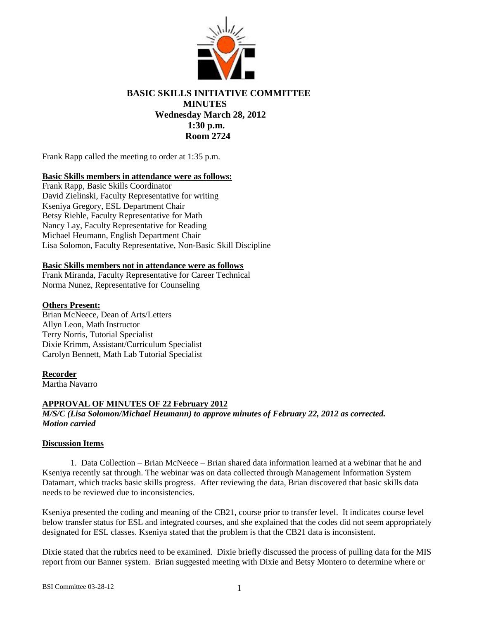

# **BASIC SKILLS INITIATIVE COMMITTEE MINUTES Wednesday March 28, 2012 1:30 p.m. Room 2724**

Frank Rapp called the meeting to order at 1:35 p.m.

# **Basic Skills members in attendance were as follows:**

Frank Rapp, Basic Skills Coordinator David Zielinski, Faculty Representative for writing Kseniya Gregory, ESL Department Chair Betsy Riehle, Faculty Representative for Math Nancy Lay, Faculty Representative for Reading Michael Heumann, English Department Chair Lisa Solomon, Faculty Representative, Non-Basic Skill Discipline

## **Basic Skills members not in attendance were as follows**

Frank Miranda, Faculty Representative for Career Technical Norma Nunez, Representative for Counseling

## **Others Present:**

Brian McNeece, Dean of Arts/Letters Allyn Leon, Math Instructor Terry Norris, Tutorial Specialist Dixie Krimm, Assistant/Curriculum Specialist Carolyn Bennett, Math Lab Tutorial Specialist

#### **Recorder**

Martha Navarro

## **APPROVAL OF MINUTES OF 22 February 2012**

*M/S/C (Lisa Solomon/Michael Heumann) to approve minutes of February 22, 2012 as corrected. Motion carried*

#### **Discussion Items**

1. Data Collection – Brian McNeece – Brian shared data information learned at a webinar that he and Kseniya recently sat through. The webinar was on data collected through Management Information System Datamart, which tracks basic skills progress. After reviewing the data, Brian discovered that basic skills data needs to be reviewed due to inconsistencies.

Kseniya presented the coding and meaning of the CB21, course prior to transfer level. It indicates course level below transfer status for ESL and integrated courses, and she explained that the codes did not seem appropriately designated for ESL classes. Kseniya stated that the problem is that the CB21 data is inconsistent.

Dixie stated that the rubrics need to be examined. Dixie briefly discussed the process of pulling data for the MIS report from our Banner system. Brian suggested meeting with Dixie and Betsy Montero to determine where or